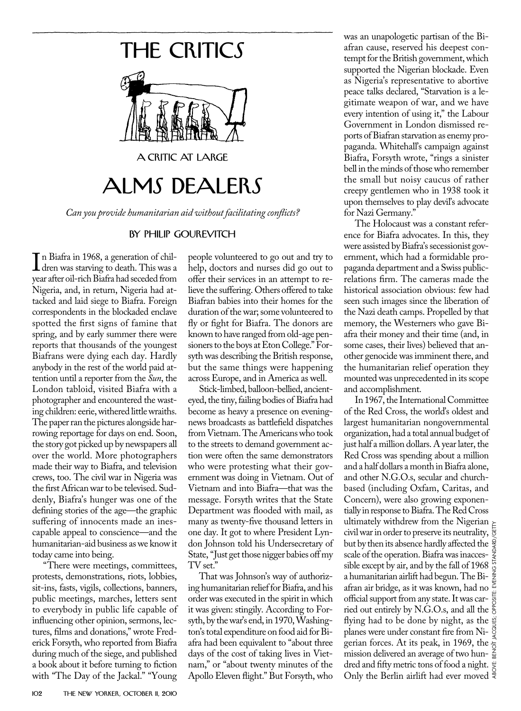## THE CRITICS



A CRITIC AT LARGE

## ALMS DEALERS

*Can you provide humanitarian aid without facilitating conflicts?*

## by philip Gourevitch

In Biatra in 1968, a generation of chil-<br>dren was starving to death. This was a<br>vear after oil-rich Biafra had seceded from dren was starving to death. This was a year after oil-rich Biafra had seceded from Nigeria, and, in return, Nigeria had attacked and laid siege to Biafra. Foreign correspondents in the blockaded enclave spotted the first signs of famine that spring, and by early summer there were reports that thousands of the youngest Biafrans were dying each day. Hardly anybody in the rest of the world paid attention until a reporter from the *Sun*, the London tabloid, visited Biafra with a photographer and encountered the wasting children: eerie, withered little wraiths. The paper ran the pictures alongside harrowing reportage for days on end. Soon, the story got picked up by newspapers all over the world. More photographers made their way to Biafra, and television crews, too. The civil war in Nigeria was the first African war to be televised. Suddenly, Biafra's hunger was one of the defining stories of the age—the graphic suffering of innocents made an inescapable appeal to conscience—and the humanitarian-aid business as we know it today came into being.

"There were meetings, committees, protests, demonstrations, riots, lobbies, sit-ins, fasts, vigils, collections, banners, public meetings, marches, letters sent to everybody in public life capable of influencing other opinion, sermons, lectures, films and donations," wrote Frederick Forsyth, who reported from Biafra during much of the siege, and published a book about it before turning to fiction with "The Day of the Jackal." "Young

people volunteered to go out and try to help, doctors and nurses did go out to offer their services in an attempt to relieve the suffering. Others offered to take Biafran babies into their homes for the duration of the war; some volunteered to fly or fight for Biafra. The donors are known to have ranged from old-age pensioners to the boys at Eton College." Forsyth was describing the British response, but the same things were happening across Europe, and in America as well.

Stick-limbed, balloon-bellied, ancienteyed, the tiny, failing bodies of Biafra had become as heavy a presence on eveningnews broadcasts as battlefield dispatches from Vietnam. The Americans who took to the streets to demand government action were often the same demonstrators who were protesting what their government was doing in Vietnam. Out of Vietnam and into Biafra—that was the message. Forsyth writes that the State Department was flooded with mail, as many as twenty-five thousand letters in one day. It got to where President Lyndon Johnson told his Undersecretary of State, "Just get those nigger babies off my TV set."

That was Johnson's way of authorizing humanitarian relief for Biafra, and his order was executed in the spirit in which it was given: stingily. According to Forsyth, by the war's end, in 1970, Washington's total expenditure on food aid for Biafra had been equivalent to "about three days of the cost of taking lives in Vietnam," or "about twenty minutes of the Apollo Eleven flight." But Forsyth, who

was an unapologetic partisan of the Biafran cause, reserved his deepest contempt for the British government, which supported the Nigerian blockade. Even as Nigeria's representative to abortive peace talks declared, "Starvation is a legitimate weapon of war, and we have every intention of using it," the Labour Government in London dismissed reports of Biafran starvation as enemy propaganda. Whitehall's campaign against Biafra, Forsyth wrote, "rings a sinister bell in the minds of those who remember the small but noisy caucus of rather creepy gentlemen who in 1938 took it upon themselves to play devil's advocate for Nazi Germany."

The Holocaust was a constant reference for Biafra advocates. In this, they were assisted by Biafra's secessionist government, which had a formidable propaganda department and a Swiss publicrelations firm. The cameras made the historical association obvious: few had seen such images since the liberation of the Nazi death camps. Propelled by that memory, the Westerners who gave Biafra their money and their time (and, in some cases, their lives) believed that another genocide was imminent there, and the humanitarian relief operation they mounted was unprecedented in its scope and accomplishment.

In 1967, the International Committee of the Red Cross, the world's oldest and largest humanitarian nongovernmental organization, had a total annual budget of just half a million dollars. A year later, the Red Cross was spending about a million and a half dollars a month in Biafra alone, and other N.G.O.s, secular and churchbased (including Oxfam, Caritas, and Concern), were also growing exponentially in response to Biafra. The Red Cross ultimately withdrew from the Nigerian civil war in order to preserve its neutrality, but by then its absence hardly affected the  $\frac{2}{3}$ scale of the operation. Biafra was inaccessible except by air, and by the fall of 1968 a humanitarian airlift had begun. The Biafran air bridge, as it was known, had no official support from any state. It was carried out entirely by N.G.O.s, and all the  $\frac{8}{9}$ flying had to be done by night, as the planes were under constant fire from Nigerian forces. At its peak, in 1969, the  $\frac{1}{6}$ mission delivered an average of two hun- $\frac{7}{9}$ dred and fifty metric tons of food a night. Only the Berlin airlift had ever moved ABOVE: BENOÎT JACQUEs; opposite: Evening Standard/Getty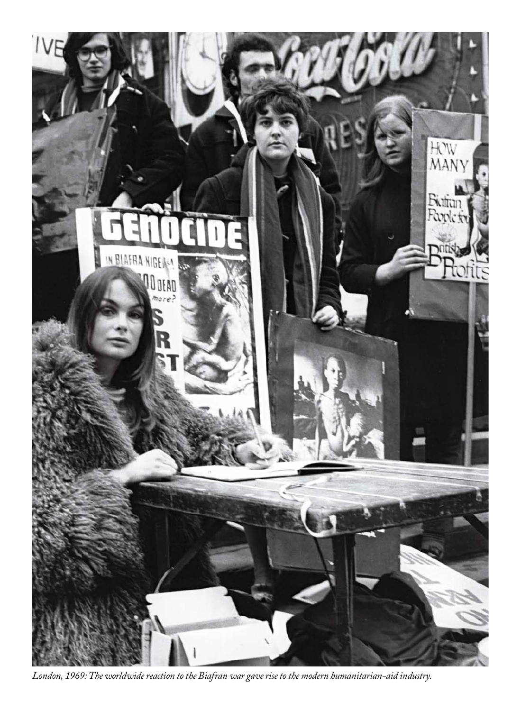

*London, 1969: The worldwide reaction to the Biafran war gave rise to the modern humanitarian-aid industry.*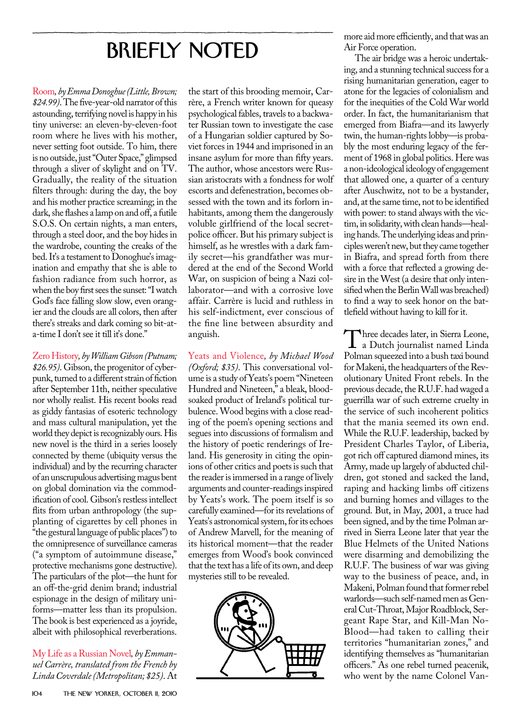## BRIEFLY NOTED

Room*, by Emma Donoghue (Little, Brown; \$24.99)*. The five-year-old narrator of this astounding, terrifying novel is happy in his tiny universe: an eleven-by-eleven-foot room where he lives with his mother, never setting foot outside. To him, there is no outside, just "Outer Space," glimpsed through a sliver of skylight and on TV. Gradually, the reality of the situation filters through: during the day, the boy and his mother practice screaming; in the dark, she flashes a lamp on and off, a futile S.O.S. On certain nights, a man enters, through a steel door, and the boy hides in the wardrobe, counting the creaks of the bed. It's a testament to Donoghue's imagination and empathy that she is able to fashion radiance from such horror, as when the boy first sees the sunset: "I watch God's face falling slow slow, even orangier and the clouds are all colors, then after there's streaks and dark coming so bit-ata-time I don't see it till it's done."

Zero History*, by William Gibson (Putnam; \$26.95)*. Gibson, the progenitor of cyberpunk, turned to a different strain of fiction after September 11th, neither speculative nor wholly realist. His recent books read as giddy fantasias of esoteric technology and mass cultural manipulation, yet the world they depict is recognizably ours. His new novel is the third in a series loosely connected by theme (ubiquity versus the individual) and by the recurring character of an unscrupulous advertising magus bent on global domination via the commodification of cool. Gibson's restless intellect flits from urban anthropology (the supplanting of cigarettes by cell phones in "the gestural language of public places") to the omnipresence of surveillance cameras ("a symptom of autoimmune disease," protective mechanisms gone destructive). The particulars of the plot—the hunt for an off-the-grid denim brand; industrial espionage in the design of military uniforms—matter less than its propulsion. The book is best experienced as a joyride, albeit with philosophical reverberations.

My Life as a Russian Novel*, by Emmanuel Carrère, translated from the French by Linda Coverdale (Metropolitan; \$25)*. At

the start of this brooding memoir, Carrère, a French writer known for queasy psychological fables, travels to a backwater Russian town to investigate the case of a Hungarian soldier captured by Soviet forces in 1944 and imprisoned in an insane asylum for more than fifty years. The author, whose ancestors were Russian aristocrats with a fondness for wolf escorts and defenestration, becomes obsessed with the town and its forlorn inhabitants, among them the dangerously voluble girlfriend of the local secretpolice officer. But his primary subject is himself, as he wrestles with a dark family secret—his grandfather was murdered at the end of the Second World War, on suspicion of being a Nazi collaborator—and with a corrosive love affair. Carrère is lucid and ruthless in his self-indictment, ever conscious of the fine line between absurdity and anguish.

Yeats and Violence*, by Michael Wood (Oxford; \$35)*. This conversational volume is a study of Yeats's poem "Nineteen Hundred and Nineteen," a bleak, bloodsoaked product of Ireland's political turbulence. Wood begins with a close reading of the poem's opening sections and segues into discussions of formalism and the history of poetic renderings of Ireland. His generosity in citing the opinions of other critics and poets is such that the reader is immersed in a range of lively arguments and counter-readings inspired by Yeats's work. The poem itself is so carefully examined—for its revelations of Yeats's astronomical system, for its echoes of Andrew Marvell, for the meaning of its historical moment—that the reader emerges from Wood's book convinced that the text has a life of its own, and deep mysteries still to be revealed.



more aid more efficiently, and that was an Air Force operation.

The air bridge was a heroic undertaking, and a stunning technical success for a rising humanitarian generation, eager to atone for the legacies of colonialism and for the inequities of the Cold War world order. In fact, the humanitarianism that emerged from Biafra—and its lawyerly twin, the human-rights lobby—is probably the most enduring legacy of the ferment of 1968 in global politics. Here was a non-ideological ideology of engagement that allowed one, a quarter of a century after Auschwitz, not to be a bystander, and, at the same time, not to be identified with power: to stand always with the victim, in solidarity, with clean hands—healing hands. The underlying ideas and principles weren't new, but they came together in Biafra, and spread forth from there with a force that reflected a growing desire in the West (a desire that only intensified when the Berlin Wall was breached) to find a way to seek honor on the battlefield without having to kill for it.

Three decades later, in Sierra Leone,<br>Polman squeezed into a bush taxi bound Polman squeezed into a bush taxi bound for Makeni, the headquarters of the Revolutionary United Front rebels. In the previous decade, the R.U.F. had waged a guerrilla war of such extreme cruelty in the service of such incoherent politics that the mania seemed its own end. While the R.U.F. leadership, backed by President Charles Taylor, of Liberia, got rich off captured diamond mines, its Army, made up largely of abducted children, got stoned and sacked the land, raping and hacking limbs off citizens and burning homes and villages to the ground. But, in May, 2001, a truce had been signed, and by the time Polman arrived in Sierra Leone later that year the Blue Helmets of the United Nations were disarming and demobilizing the R.U.F. The business of war was giving way to the business of peace, and, in Makeni, Polman found that former rebel warlords—such self-named men as General Cut-Throat, Major Roadblock, Sergeant Rape Star, and Kill-Man No-Blood—had taken to calling their territories "humanitarian zones," and identifying themselves as "humanitarian officers." As one rebel turned peacenik, who went by the name Colonel Van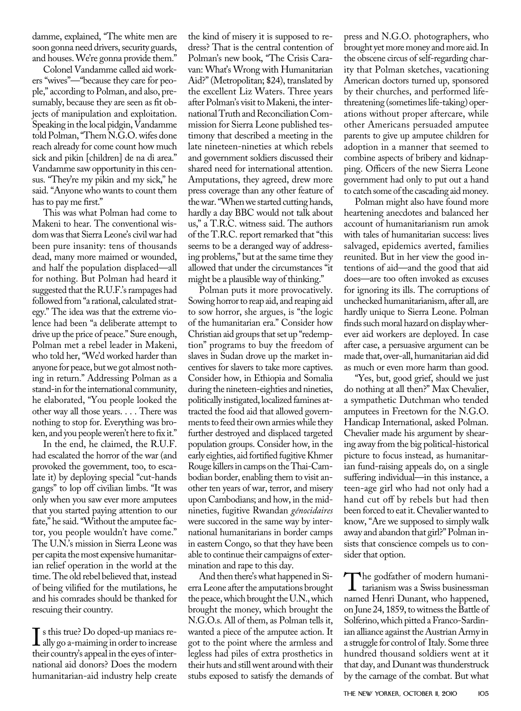damme, explained, "The white men are soon gonna need drivers, security guards, and houses. We're gonna provide them."

Colonel Vandamme called aid workers "wives"—"because they care for people," according to Polman, and also, presumably, because they are seen as fit objects of manipulation and exploitation. Speaking in the local pidgin, Vandamme told Polman, "Them N.G.O. wifes done reach already for come count how much sick and pikin [children] de na di area." Vandamme saw opportunity in this census. "They're my pikin and my sick," he said. "Anyone who wants to count them has to pay me first."

This was what Polman had come to Makeni to hear. The conventional wisdom was that Sierra Leone's civil war had been pure insanity: tens of thousands dead, many more maimed or wounded, and half the population displaced—all for nothing. But Polman had heard it suggested that the R.U.F.'s rampages had followed from "a rational, calculated strategy." The idea was that the extreme violence had been "a deliberate attempt to drive up the price of peace." Sure enough, Polman met a rebel leader in Makeni, who told her, "We'd worked harder than anyone for peace, but we got almost nothing in return." Addressing Polman as a stand-in for the international community, he elaborated, "You people looked the other way all those years. . . . There was nothing to stop for. Everything was broken, and you people weren't here to fix it."

In the end, he claimed, the R.U.F. had escalated the horror of the war (and provoked the government, too, to escalate it) by deploying special "cut-hands gangs" to lop off civilian limbs. "It was only when you saw ever more amputees that you started paying attention to our fate," he said. "Without the amputee factor, you people wouldn't have come." The U.N.'s mission in Sierra Leone was per capita the most expensive humanitarian relief operation in the world at the time. The old rebel believed that, instead of being vilified for the mutilations, he and his comrades should be thanked for rescuing their country.

I s this true? Do doped-up maniacs re-<br>ally go a-maiming in order to increase<br>their country's anneal in the eves of interally go a-maiming in order to increase their country's appeal in the eyes of international aid donors? Does the modern humanitarian-aid industry help create

the kind of misery it is supposed to redress? That is the central contention of Polman's new book, "The Crisis Caravan: What's Wrong with Humanitarian Aid?" (Metropolitan; \$24), translated by the excellent Liz Waters. Three years after Polman's visit to Makeni, the international Truth and Reconciliation Commission for Sierra Leone published testimony that described a meeting in the late nineteen-nineties at which rebels and government soldiers discussed their shared need for international attention. Amputations, they agreed, drew more press coverage than any other feature of the war. "When we started cutting hands, hardly a day BBC would not talk about us," a T.R.C. witness said. The authors of the T.R.C. report remarked that "this seems to be a deranged way of addressing problems," but at the same time they allowed that under the circumstances "it might be a plausible way of thinking."

Polman puts it more provocatively. Sowing horror to reap aid, and reaping aid to sow horror, she argues, is "the logic of the humanitarian era." Consider how Christian aid groups that set up "redemption" programs to buy the freedom of slaves in Sudan drove up the market incentives for slavers to take more captives. Consider how, in Ethiopia and Somalia during the nineteen-eighties and nineties, politically instigated, localized famines attracted the food aid that allowed governments to feed their own armies while they further destroyed and displaced targeted population groups. Consider how, in the early eighties, aid fortified fugitive Khmer Rouge killers in camps on the Thai-Cambodian border, enabling them to visit another ten years of war, terror, and misery upon Cambodians; and how, in the midnineties, fugitive Rwandan *génocidaires* were succored in the same way by international humanitarians in border camps in eastern Congo, so that they have been able to continue their campaigns of extermination and rape to this day.

And then there's what happened in Sierra Leone after the amputations brought the peace, which brought the U.N., which brought the money, which brought the N.G.O.s. All of them, as Polman tells it, wanted a piece of the amputee action. It got to the point where the armless and legless had piles of extra prosthetics in their huts and still went around with their stubs exposed to satisfy the demands of

press and N.G.O. photographers, who brought yet more money and more aid. In the obscene circus of self-regarding charity that Polman sketches, vacationing American doctors turned up, sponsored by their churches, and performed lifethreatening (sometimes life-taking) operations without proper aftercare, while other Americans persuaded amputee parents to give up amputee children for adoption in a manner that seemed to combine aspects of bribery and kidnapping. Officers of the new Sierra Leone government had only to put out a hand to catch some of the cascading aid money.

Polman might also have found more heartening anecdotes and balanced her account of humanitarianism run amok with tales of humanitarian success: lives salvaged, epidemics averted, families reunited. But in her view the good intentions of aid—and the good that aid does—are too often invoked as excuses for ignoring its ills. The corruptions of unchecked humanitarianism, after all, are hardly unique to Sierra Leone. Polman finds such moral hazard on display wherever aid workers are deployed. In case after case, a persuasive argument can be made that, over-all, humanitarian aid did as much or even more harm than good.

"Yes, but, good grief, should we just do nothing at all then?" Max Chevalier, a sympathetic Dutchman who tended amputees in Freetown for the N.G.O. Handicap International, asked Polman. Chevalier made his argument by shearing away from the big political-historical picture to focus instead, as humanitarian fund-raising appeals do, on a single suffering individual—in this instance, a teen-age girl who had not only had a hand cut off by rebels but had then been forced to eat it. Chevalier wanted to know, "Are we supposed to simply walk away and abandon that girl?" Polman insists that conscience compels us to consider that option.

The godfather of modern humani-<br>tarianism was a Swiss businessman<br>named Henri Dunant, who hannened named Henri Dunant, who happened, on June 24, 1859, to witness the Battle of Solferino, which pitted a Franco-Sardinian alliance against the Austrian Army in a struggle for control of Italy. Some three hundred thousand soldiers went at it that day, and Dunant was thunderstruck by the carnage of the combat. But what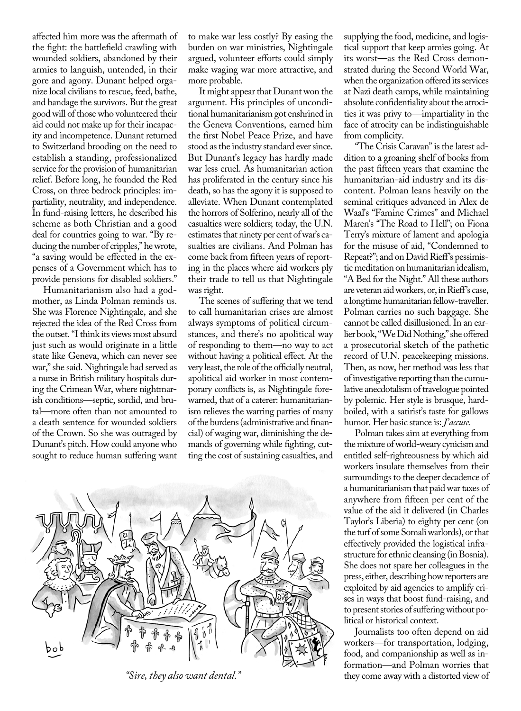affected him more was the aftermath of the fight: the battlefield crawling with wounded soldiers, abandoned by their armies to languish, untended, in their gore and agony. Dunant helped organize local civilians to rescue, feed, bathe, and bandage the survivors. But the great good will of those who volunteered their aid could not make up for their incapacity and incompetence. Dunant returned to Switzerland brooding on the need to establish a standing, professionalized service for the provision of humanitarian relief. Before long, he founded the Red Cross, on three bedrock principles: impartiality, neutrality, and independence. In fund-raising letters, he described his scheme as both Christian and a good deal for countries going to war. "By reducing the number of cripples," he wrote, "a saving would be effected in the expenses of a Government which has to provide pensions for disabled soldiers."

Humanitarianism also had a godmother, as Linda Polman reminds us. She was Florence Nightingale, and she rejected the idea of the Red Cross from the outset. "I think its views most absurd just such as would originate in a little state like Geneva, which can never see war," she said. Nightingale had served as a nurse in British military hospitals during the Crimean War, where nightmarish conditions—septic, sordid, and brutal—more often than not amounted to a death sentence for wounded soldiers of the Crown. So she was outraged by Dunant's pitch. How could anyone who sought to reduce human suffering want

to make war less costly? By easing the burden on war ministries, Nightingale argued, volunteer efforts could simply make waging war more attractive, and more probable.

It might appear that Dunant won the argument. His principles of unconditional humanitarianism got enshrined in the Geneva Conventions, earned him the first Nobel Peace Prize, and have stood as the industry standard ever since. But Dunant's legacy has hardly made war less cruel. As humanitarian action has proliferated in the century since his death, so has the agony it is supposed to alleviate. When Dunant contemplated the horrors of Solferino, nearly all of the casualties were soldiers; today, the U.N. estimates that ninety per cent of war's casualties are civilians. And Polman has come back from fifteen years of reporting in the places where aid workers ply their trade to tell us that Nightingale was right.

The scenes of suffering that we tend to call humanitarian crises are almost always symptoms of political circumstances, and there's no apolitical way of responding to them—no way to act without having a political effect. At the very least, the role of the officially neutral, apolitical aid worker in most contemporary conflicts is, as Nightingale forewarned, that of a caterer: humanitarianism relieves the warring parties of many of the burdens (administrative and financial) of waging war, diminishing the demands of governing while fighting, cutting the cost of sustaining casualties, and



supplying the food, medicine, and logistical support that keep armies going. At its worst—as the Red Cross demonstrated during the Second World War, when the organization offered its services at Nazi death camps, while maintaining absolute confidentiality about the atrocities it was privy to—impartiality in the face of atrocity can be indistinguishable from complicity.

"The Crisis Caravan" is the latest addition to a groaning shelf of books from the past fifteen years that examine the humanitarian-aid industry and its discontent. Polman leans heavily on the seminal critiques advanced in Alex de Waal's "Famine Crimes" and Michael Maren's "The Road to Hell"; on Fiona Terry's mixture of lament and apologia for the misuse of aid, "Condemned to Repeat?"; and on David Rieff's pessimistic meditation on humanitarian idealism, "A Bed for the Night." All these authors are veteran aid workers, or, in Rieff's case, a longtime humanitarian fellow-traveller. Polman carries no such baggage. She cannot be called disillusioned. In an earlier book, "We Did Nothing," she offered a prosecutorial sketch of the pathetic record of U.N. peacekeeping missions. Then, as now, her method was less that of investigative reporting than the cumulative anecdotalism of travelogue pointed by polemic. Her style is brusque, hardboiled, with a satirist's taste for gallows humor. Her basic stance is: *J*'*accuse.*

Polman takes aim at everything from the mixture of world-weary cynicism and entitled self-righteousness by which aid workers insulate themselves from their surroundings to the deeper decadence of a humanitarianism that paid war taxes of anywhere from fifteen per cent of the value of the aid it delivered (in Charles Taylor's Liberia) to eighty per cent (on the turf of some Somali warlords), or that effectively provided the logistical infrastructure for ethnic cleansing (in Bosnia). She does not spare her colleagues in the press, either, describing how reporters are exploited by aid agencies to amplify crises in ways that boost fund-raising, and to present stories of suffering without political or historical context.

Journalists too often depend on aid workers—for transportation, lodging, food, and companionship as well as information—and Polman worries that *"Sire, they also want dental."* they come away with a distorted view of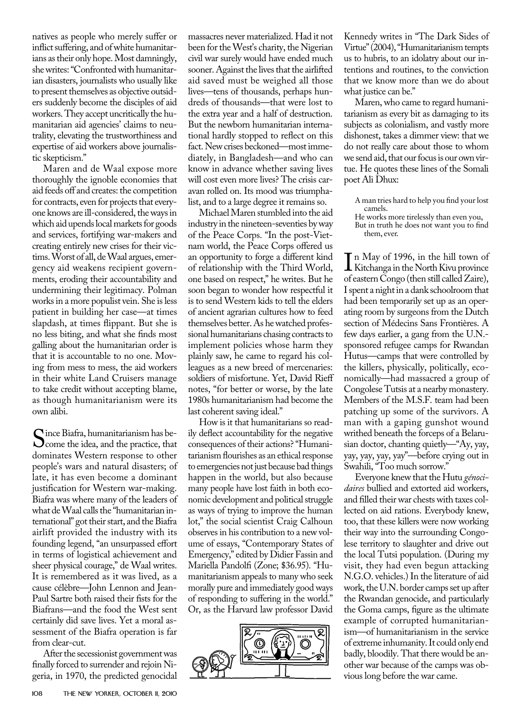natives as people who merely suffer or inflict suffering, and of white humanitarians as their only hope. Most damningly, she writes: "Confronted with humanitarian disasters, journalists who usually like to present themselves as objective outsiders suddenly become the disciples of aid workers. They accept uncritically the humanitarian aid agencies' claims to neutrality, elevating the trustworthiness and expertise of aid workers above journalistic skepticism."

Maren and de Waal expose more thoroughly the ignoble economies that aid feeds off and creates: the competition for contracts, even for projects that everyone knows are ill-considered, the ways in which aid upends local markets for goods and services, fortifying war-makers and creating entirely new crises for their victims. Worst of all, de Waal argues, emergency aid weakens recipient governments, eroding their accountability and undermining their legitimacy. Polman works in a more populist vein. She is less patient in building her case—at times slapdash, at times flippant. But she is no less biting, and what she finds most galling about the humanitarian order is that it is accountable to no one. Moving from mess to mess, the aid workers in their white Land Cruisers manage to take credit without accepting blame, as though humanitarianism were its own alibi.

Since Biafra, humanitarianism has be-<br>Come the idea, and the practice, that<br>dominates Western response to other dominates Western response to other people's wars and natural disasters; of late, it has even become a dominant justification for Western war-making. Biafra was where many of the leaders of what de Waal calls the "humanitarian international" got their start, and the Biafra airlift provided the industry with its founding legend, "an unsurpassed effort in terms of logistical achievement and sheer physical courage," de Waal writes. It is remembered as it was lived, as a cause célèbre—John Lennon and Jean-Paul Sartre both raised their fists for the Biafrans—and the food the West sent certainly did save lives. Yet a moral assessment of the Biafra operation is far from clear-cut.

After the secessionist government was finally forced to surrender and rejoin Nigeria, in 1970, the predicted genocidal

massacres never materialized. Had it not been for the West's charity, the Nigerian civil war surely would have ended much sooner. Against the lives that the airlifted aid saved must be weighed all those lives—tens of thousands, perhaps hundreds of thousands—that were lost to the extra year and a half of destruction. But the newborn humanitarian international hardly stopped to reflect on this fact. New crises beckoned—most immediately, in Bangladesh—and who can know in advance whether saving lives will cost even more lives? The crisis caravan rolled on. Its mood was triumphalist, and to a large degree it remains so.

Michael Maren stumbled into the aid industry in the nineteen-seventies by way of the Peace Corps. "In the post-Vietnam world, the Peace Corps offered us an opportunity to forge a different kind of relationship with the Third World, one based on respect," he writes. But he soon began to wonder how respectful it is to send Western kids to tell the elders of ancient agrarian cultures how to feed themselves better. As he watched professional humanitarians chasing contracts to implement policies whose harm they plainly saw, he came to regard his colleagues as a new breed of mercenaries: soldiers of misfortune. Yet, David Rieff notes, "for better or worse, by the late 1980s humanitarianism had become the last coherent saving ideal."

How is it that humanitarians so readily deflect accountability for the negative consequences of their actions? "Humanitarianism flourishes as an ethical response to emergencies not just because bad things happen in the world, but also because many people have lost faith in both economic development and political struggle as ways of trying to improve the human lot," the social scientist Craig Calhoun observes in his contribution to a new volume of essays, "Contemporary States of Emergency," edited by Didier Fassin and Mariella Pandolfi (Zone; \$36.95). "Humanitarianism appeals to many who seek morally pure and immediately good ways of responding to suffering in the world." Or, as the Harvard law professor David



Kennedy writes in "The Dark Sides of Virtue" (2004), "Humanitarianism tempts us to hubris, to an idolatry about our intentions and routines, to the conviction that we know more than we do about what justice can be."

Maren, who came to regard humanitarianism as every bit as damaging to its subjects as colonialism, and vastly more dishonest, takes a dimmer view: that we do not really care about those to whom we send aid, that our focus is our own virtue. He quotes these lines of the Somali poet Ali Dhux:

A man tries hard to help you find your lost camels.

He works more tirelessly than even you, But in truth he does not want you to find them, ever.

In May of 1996, in the hill town of<br>Kitchanga in the North Kivu province<br>of eastern Congo (then still called Zaire) n May of 1996, in the hill town of of eastern Congo (then still called Zaire), I spent a night in a dank schoolroom that had been temporarily set up as an operating room by surgeons from the Dutch section of Médecins Sans Frontières. A few days earlier, a gang from the U.N. sponsored refugee camps for Rwandan Hutus—camps that were controlled by the killers, physically, politically, economically—had massacred a group of Congolese Tutsis at a nearby monastery. Members of the M.S.F. team had been patching up some of the survivors. A man with a gaping gunshot wound writhed beneath the forceps of a Belarusian doctor, chanting quietly—"Ay, yay, yay, yay, yay, yay"—before crying out in Swahili, "Too much sorrow."

Everyone knew that the Hutu *génocidaires* bullied and extorted aid workers, and filled their war chests with taxes collected on aid rations. Everybody knew, too, that these killers were now working their way into the surrounding Congolese territory to slaughter and drive out the local Tutsi population. (During my visit, they had even begun attacking N.G.O. vehicles.) In the literature of aid work, the U.N. border camps set up after the Rwandan genocide, and particularly the Goma camps, figure as the ultimate example of corrupted humanitarianism—of humanitarianism in the service of extreme inhumanity. It could only end badly, bloodily. That there would be another war because of the camps was obvious long before the war came.